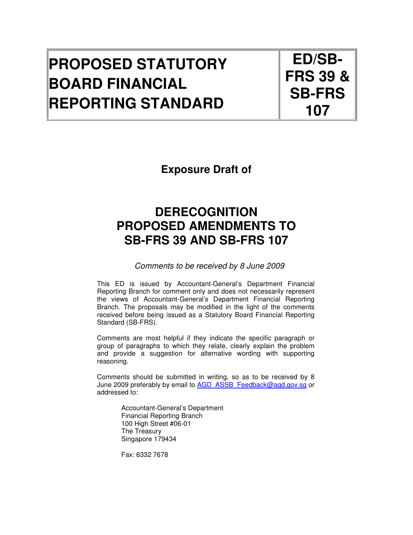# **PROPOSED STATUTORY BOARD FINANCIAL REPORTING STANDARD**

**ED/SB-FRS 39 & SB-FRS 107** 

**Exposure Draft of** 

## **DERECOGNITION PROPOSED AMENDMENTS TO SB-FRS 39 AND SB-FRS 107**

Comments to be received by 8 June 2009

This ED is issued by Accountant-General's Department Financial Reporting Branch for comment only and does not necessarily represent the views of Accountant-General's Department Financial Reporting Branch. The proposals may be modified in the light of the comments received before being issued as a Statutory Board Financial Reporting Standard (SB-FRS).

Comments are most helpful if they indicate the specific paragraph or group of paragraphs to which they relate, clearly explain the problem and provide a suggestion for alternative wording with supporting reasoning.

Comments should be submitted in writing, so as to be received by 8 June 2009 preferably by email to AGD\_ASSB\_Feedback@agd.gov.sg or addressed to:

> Accountant-General's Department Financial Reporting Branch 100 High Street #06-01 The Treasury Singapore 179434

Fax: 6332 7678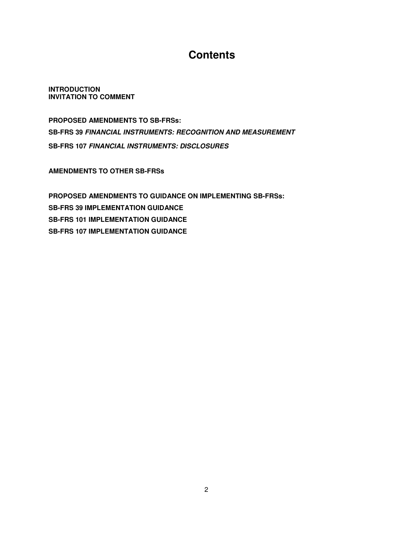## **Contents**

**INTRODUCTION INVITATION TO COMMENT** 

**PROPOSED AMENDMENTS TO SB-FRSs: SB-FRS 39 FINANCIAL INSTRUMENTS: RECOGNITION AND MEASUREMENT SB-FRS 107 FINANCIAL INSTRUMENTS: DISCLOSURES** 

**AMENDMENTS TO OTHER SB-FRSs** 

**PROPOSED AMENDMENTS TO GUIDANCE ON IMPLEMENTING SB-FRSs: SB-FRS 39 IMPLEMENTATION GUIDANCE SB-FRS 101 IMPLEMENTATION GUIDANCE SB-FRS 107 IMPLEMENTATION GUIDANCE**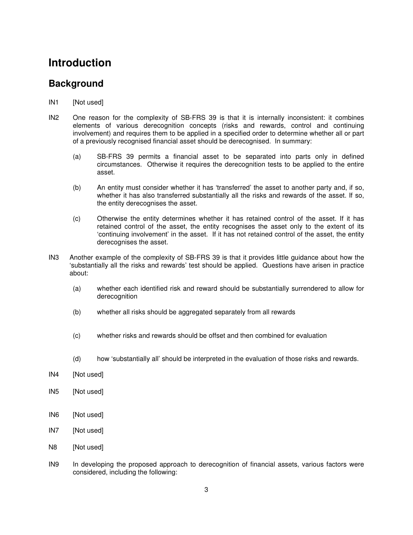## **Introduction**

## **Background**

- IN1 [Not used]
- IN2 One reason for the complexity of SB-FRS 39 is that it is internally inconsistent: it combines elements of various derecognition concepts (risks and rewards, control and continuing involvement) and requires them to be applied in a specified order to determine whether all or part of a previously recognised financial asset should be derecognised. In summary:
	- (a) SB-FRS 39 permits a financial asset to be separated into parts only in defined circumstances. Otherwise it requires the derecognition tests to be applied to the entire asset.
	- (b) An entity must consider whether it has 'transferred' the asset to another party and, if so, whether it has also transferred substantially all the risks and rewards of the asset. If so, the entity derecognises the asset.
	- (c) Otherwise the entity determines whether it has retained control of the asset. If it has retained control of the asset, the entity recognises the asset only to the extent of its 'continuing involvement' in the asset. If it has not retained control of the asset, the entity derecognises the asset.
- IN3 Another example of the complexity of SB-FRS 39 is that it provides little guidance about how the 'substantially all the risks and rewards' test should be applied. Questions have arisen in practice about:
	- (a) whether each identified risk and reward should be substantially surrendered to allow for derecognition
	- (b) whether all risks should be aggregated separately from all rewards
	- (c) whether risks and rewards should be offset and then combined for evaluation
	- (d) how 'substantially all' should be interpreted in the evaluation of those risks and rewards.
- IN4 [Not used]
- IN5 [Not used]
- IN6 [Not used]
- IN7 [Not used]
- N8 [Not used]
- IN9 In developing the proposed approach to derecognition of financial assets, various factors were considered, including the following: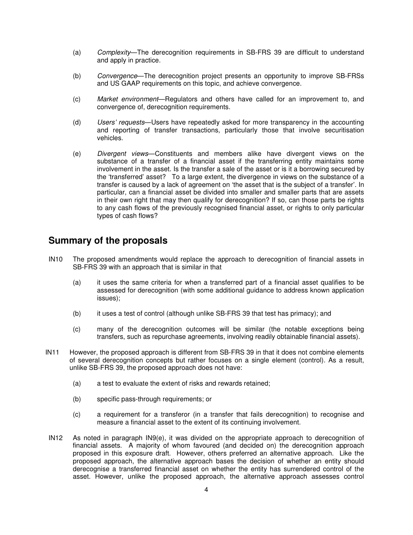- (a) Complexity—The derecognition requirements in SB-FRS 39 are difficult to understand and apply in practice.
- (b) Convergence—The derecognition project presents an opportunity to improve SB-FRSs and US GAAP requirements on this topic, and achieve convergence.
- (c) Market environment—Regulators and others have called for an improvement to, and convergence of, derecognition requirements.
- (d) Users' requests—Users have repeatedly asked for more transparency in the accounting and reporting of transfer transactions, particularly those that involve securitisation vehicles.
- (e) Divergent views—Constituents and members alike have divergent views on the substance of a transfer of a financial asset if the transferring entity maintains some involvement in the asset. Is the transfer a sale of the asset or is it a borrowing secured by the 'transferred' asset? To a large extent, the divergence in views on the substance of a transfer is caused by a lack of agreement on 'the asset that is the subject of a transfer'. In particular, can a financial asset be divided into smaller and smaller parts that are assets in their own right that may then qualify for derecognition? If so, can those parts be rights to any cash flows of the previously recognised financial asset, or rights to only particular types of cash flows?

### **Summary of the proposals**

- IN10 The proposed amendments would replace the approach to derecognition of financial assets in SB-FRS 39 with an approach that is similar in that
	- (a) it uses the same criteria for when a transferred part of a financial asset qualifies to be assessed for derecognition (with some additional guidance to address known application issues);
	- (b) it uses a test of control (although unlike SB-FRS 39 that test has primacy); and
	- (c) many of the derecognition outcomes will be similar (the notable exceptions being transfers, such as repurchase agreements, involving readily obtainable financial assets).
- IN11 However, the proposed approach is different from SB-FRS 39 in that it does not combine elements of several derecognition concepts but rather focuses on a single element (control). As a result, unlike SB-FRS 39, the proposed approach does not have:
	- (a) a test to evaluate the extent of risks and rewards retained;
	- (b) specific pass-through requirements; or
	- (c) a requirement for a transferor (in a transfer that fails derecognition) to recognise and measure a financial asset to the extent of its continuing involvement.
- IN12 As noted in paragraph IN9(e), it was divided on the appropriate approach to derecognition of financial assets. A majority of whom favoured (and decided on) the derecognition approach proposed in this exposure draft. However, others preferred an alternative approach. Like the proposed approach, the alternative approach bases the decision of whether an entity should derecognise a transferred financial asset on whether the entity has surrendered control of the asset. However, unlike the proposed approach, the alternative approach assesses control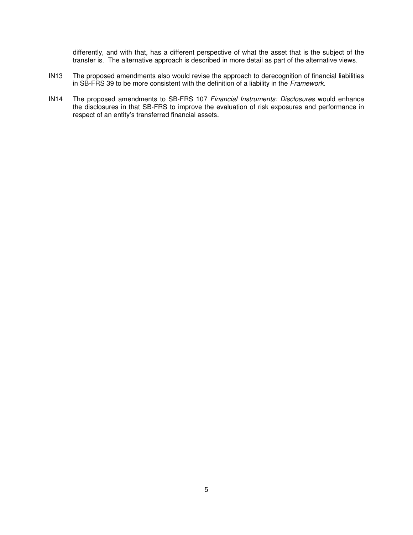differently, and with that, has a different perspective of what the asset that is the subject of the transfer is. The alternative approach is described in more detail as part of the alternative views.

- IN13 The proposed amendments also would revise the approach to derecognition of financial liabilities in SB-FRS 39 to be more consistent with the definition of a liability in the Framework.
- IN14 The proposed amendments to SB-FRS 107 Financial Instruments: Disclosures would enhance the disclosures in that SB-FRS to improve the evaluation of risk exposures and performance in respect of an entity's transferred financial assets.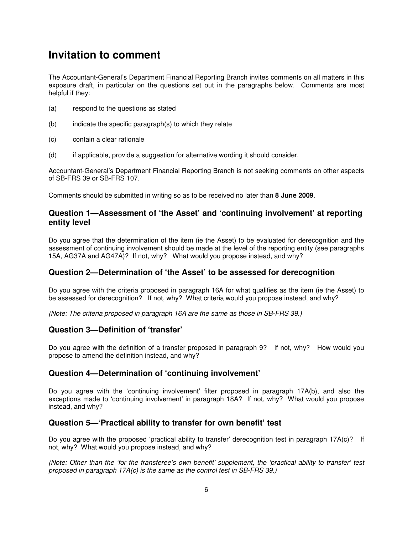## **Invitation to comment**

The Accountant-General's Department Financial Reporting Branch invites comments on all matters in this exposure draft, in particular on the questions set out in the paragraphs below. Comments are most helpful if they:

- (a) respond to the questions as stated
- (b) indicate the specific paragraph(s) to which they relate
- (c) contain a clear rationale
- (d) if applicable, provide a suggestion for alternative wording it should consider.

Accountant-General's Department Financial Reporting Branch is not seeking comments on other aspects of SB-FRS 39 or SB-FRS 107.

Comments should be submitted in writing so as to be received no later than **8 June 2009**.

### **Question 1—Assessment of 'the Asset' and 'continuing involvement' at reporting entity level**

Do you agree that the determination of the item (ie the Asset) to be evaluated for derecognition and the assessment of continuing involvement should be made at the level of the reporting entity (see paragraphs 15A, AG37A and AG47A)? If not, why? What would you propose instead, and why?

### **Question 2—Determination of 'the Asset' to be assessed for derecognition**

Do you agree with the criteria proposed in paragraph 16A for what qualifies as the item (ie the Asset) to be assessed for derecognition? If not, why? What criteria would you propose instead, and why?

(Note: The criteria proposed in paragraph 16A are the same as those in SB-FRS 39.)

### **Question 3—Definition of 'transfer'**

Do you agree with the definition of a transfer proposed in paragraph 9? If not, why? How would you propose to amend the definition instead, and why?

### **Question 4—Determination of 'continuing involvement'**

Do you agree with the 'continuing involvement' filter proposed in paragraph 17A(b), and also the exceptions made to 'continuing involvement' in paragraph 18A? If not, why? What would you propose instead, and why?

### **Question 5—'Practical ability to transfer for own benefit' test**

Do you agree with the proposed 'practical ability to transfer' derecognition test in paragraph 17A(c)? If not, why? What would you propose instead, and why?

(Note: Other than the 'for the transferee's own benefit' supplement, the 'practical ability to transfer' test proposed in paragraph 17A(c) is the same as the control test in SB-FRS 39.)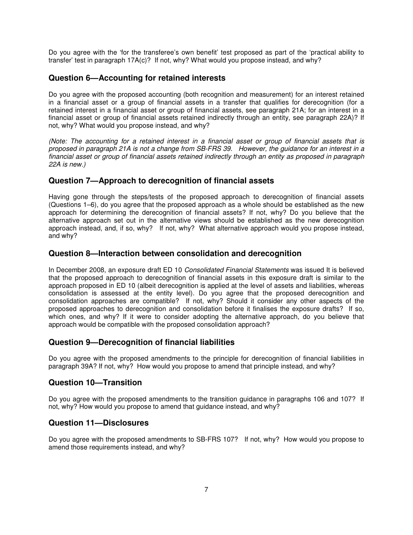Do you agree with the 'for the transferee's own benefit' test proposed as part of the 'practical ability to transfer' test in paragraph 17A(c)? If not, why? What would you propose instead, and why?

### **Question 6—Accounting for retained interests**

Do you agree with the proposed accounting (both recognition and measurement) for an interest retained in a financial asset or a group of financial assets in a transfer that qualifies for derecognition (for a retained interest in a financial asset or group of financial assets, see paragraph 21A; for an interest in a financial asset or group of financial assets retained indirectly through an entity, see paragraph 22A)? If not, why? What would you propose instead, and why?

(Note: The accounting for a retained interest in a financial asset or group of financial assets that is proposed in paragraph 21A is not a change from SB-FRS 39. However, the guidance for an interest in a financial asset or group of financial assets retained indirectly through an entity as proposed in paragraph 22A is new.)

### **Question 7—Approach to derecognition of financial assets**

Having gone through the steps/tests of the proposed approach to derecognition of financial assets (Questions 1–6), do you agree that the proposed approach as a whole should be established as the new approach for determining the derecognition of financial assets? If not, why? Do you believe that the alternative approach set out in the alternative views should be established as the new derecognition approach instead, and, if so, why? If not, why? What alternative approach would you propose instead, and why?

### **Question 8—Interaction between consolidation and derecognition**

In December 2008, an exposure draft ED 10 Consolidated Financial Statements was issued It is believed that the proposed approach to derecognition of financial assets in this exposure draft is similar to the approach proposed in ED 10 (albeit derecognition is applied at the level of assets and liabilities, whereas consolidation is assessed at the entity level). Do you agree that the proposed derecognition and consolidation approaches are compatible? If not, why? Should it consider any other aspects of the proposed approaches to derecognition and consolidation before it finalises the exposure drafts? If so, which ones, and why? If it were to consider adopting the alternative approach, do you believe that approach would be compatible with the proposed consolidation approach?

### **Question 9—Derecognition of financial liabilities**

Do you agree with the proposed amendments to the principle for derecognition of financial liabilities in paragraph 39A? If not, why? How would you propose to amend that principle instead, and why?

### **Question 10—Transition**

Do you agree with the proposed amendments to the transition guidance in paragraphs 106 and 107? If not, why? How would you propose to amend that guidance instead, and why?

### **Question 11—Disclosures**

Do you agree with the proposed amendments to SB-FRS 107? If not, why? How would you propose to amend those requirements instead, and why?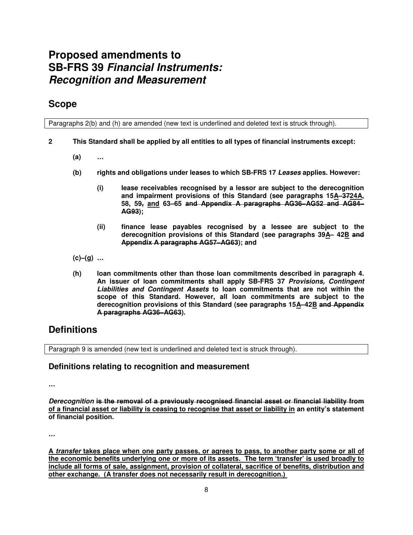## **Proposed amendments to SB-FRS 39 Financial Instruments: Recognition and Measurement**

## **Scope**

Paragraphs 2(b) and (h) are amended (new text is underlined and deleted text is struck through).

- **2 This Standard shall be applied by all entities to all types of financial instruments except:** 
	- **(a) …**
	- **(b) rights and obligations under leases to which SB-FRS 17 Leases applies. However:** 
		- **(i) lease receivables recognised by a lessor are subject to the derecognition and impairment provisions of this Standard (see paragraphs 15A–3724A, 58, 59, and 63–65 and Appendix A paragraphs AG36–AG52 and AG84– AG93);**
		- **(ii) finance lease payables recognised by a lessee are subject to the derecognition provisions of this Standard (see paragraphs 39A– 42B and Appendix A paragraphs AG57–AG63); and**
	- **(c)–(g) …**
	- **(h) loan commitments other than those loan commitments described in paragraph 4. An issuer of loan commitments shall apply SB-FRS 37 Provisions, Contingent Liabilities and Contingent Assets to loan commitments that are not within the scope of this Standard. However, all loan commitments are subject to the derecognition provisions of this Standard (see paragraphs 15A–42B and Appendix A paragraphs AG36–AG63).**

## **Definitions**

Paragraph 9 is amended (new text is underlined and deleted text is struck through).

### **Definitions relating to recognition and measurement**

**…** 

**Derecognition is the removal of a previously recognised financial asset or financial liability from of a financial asset or liability is ceasing to recognise that asset or liability in an entity's statement of financial position.** 

**…** 

**A transfer takes place when one party passes, or agrees to pass, to another party some or all of the economic benefits underlying one or more of its assets. The term 'transfer' is used broadly to include all forms of sale, assignment, provision of collateral, sacrifice of benefits, distribution and other exchange. (A transfer does not necessarily result in derecognition.)**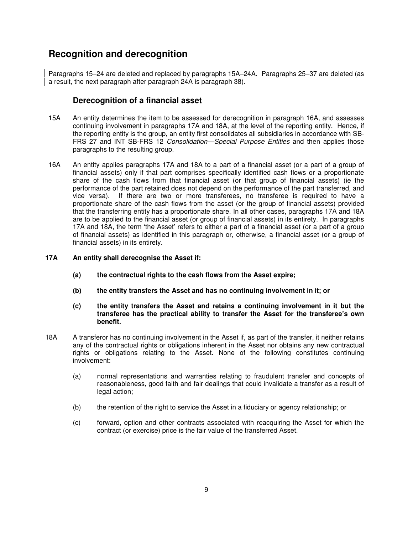## **Recognition and derecognition**

Paragraphs 15–24 are deleted and replaced by paragraphs 15A–24A. Paragraphs 25–37 are deleted (as a result, the next paragraph after paragraph 24A is paragraph 38).

### **Derecognition of a financial asset**

- 15A An entity determines the item to be assessed for derecognition in paragraph 16A, and assesses continuing involvement in paragraphs 17A and 18A, at the level of the reporting entity. Hence, if the reporting entity is the group, an entity first consolidates all subsidiaries in accordance with SB-FRS 27 and INT SB-FRS 12 Consolidation-Special Purpose Entities and then applies those paragraphs to the resulting group.
- 16A An entity applies paragraphs 17A and 18A to a part of a financial asset (or a part of a group of financial assets) only if that part comprises specifically identified cash flows or a proportionate share of the cash flows from that financial asset (or that group of financial assets) (ie the performance of the part retained does not depend on the performance of the part transferred, and vice versa). If there are two or more transferees, no transferee is required to have a proportionate share of the cash flows from the asset (or the group of financial assets) provided that the transferring entity has a proportionate share. In all other cases, paragraphs 17A and 18A are to be applied to the financial asset (or group of financial assets) in its entirety. In paragraphs 17A and 18A, the term 'the Asset' refers to either a part of a financial asset (or a part of a group of financial assets) as identified in this paragraph or, otherwise, a financial asset (or a group of financial assets) in its entirety.

#### **17A An entity shall derecognise the Asset if:**

- **(a) the contractual rights to the cash flows from the Asset expire;**
- **(b) the entity transfers the Asset and has no continuing involvement in it; or**
- **(c) the entity transfers the Asset and retains a continuing involvement in it but the transferee has the practical ability to transfer the Asset for the transferee's own benefit.**
- 18A A transferor has no continuing involvement in the Asset if, as part of the transfer, it neither retains any of the contractual rights or obligations inherent in the Asset nor obtains any new contractual rights or obligations relating to the Asset. None of the following constitutes continuing involvement:
	- (a) normal representations and warranties relating to fraudulent transfer and concepts of reasonableness, good faith and fair dealings that could invalidate a transfer as a result of legal action;
	- (b) the retention of the right to service the Asset in a fiduciary or agency relationship; or
	- (c) forward, option and other contracts associated with reacquiring the Asset for which the contract (or exercise) price is the fair value of the transferred Asset.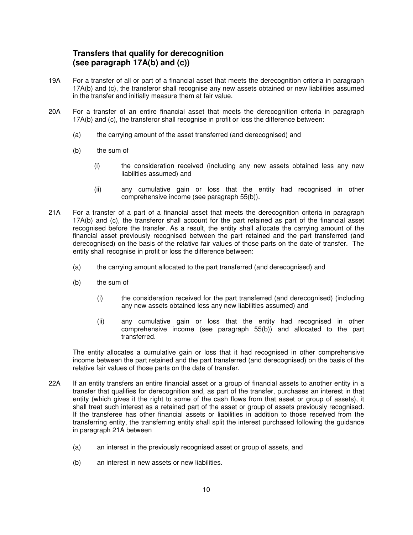### **Transfers that qualify for derecognition (see paragraph 17A(b) and (c))**

- 19A For a transfer of all or part of a financial asset that meets the derecognition criteria in paragraph 17A(b) and (c), the transferor shall recognise any new assets obtained or new liabilities assumed in the transfer and initially measure them at fair value.
- 20A For a transfer of an entire financial asset that meets the derecognition criteria in paragraph 17A(b) and (c), the transferor shall recognise in profit or loss the difference between:
	- (a) the carrying amount of the asset transferred (and derecognised) and
	- (b) the sum of
		- (i) the consideration received (including any new assets obtained less any new liabilities assumed) and
		- (ii) any cumulative gain or loss that the entity had recognised in other comprehensive income (see paragraph 55(b)).
- 21A For a transfer of a part of a financial asset that meets the derecognition criteria in paragraph 17A(b) and (c), the transferor shall account for the part retained as part of the financial asset recognised before the transfer. As a result, the entity shall allocate the carrying amount of the financial asset previously recognised between the part retained and the part transferred (and derecognised) on the basis of the relative fair values of those parts on the date of transfer. The entity shall recognise in profit or loss the difference between:
	- (a) the carrying amount allocated to the part transferred (and derecognised) and
	- (b) the sum of
		- (i) the consideration received for the part transferred (and derecognised) (including any new assets obtained less any new liabilities assumed) and
		- (ii) any cumulative gain or loss that the entity had recognised in other comprehensive income (see paragraph 55(b)) and allocated to the part transferred.

The entity allocates a cumulative gain or loss that it had recognised in other comprehensive income between the part retained and the part transferred (and derecognised) on the basis of the relative fair values of those parts on the date of transfer.

- 22A If an entity transfers an entire financial asset or a group of financial assets to another entity in a transfer that qualifies for derecognition and, as part of the transfer, purchases an interest in that entity (which gives it the right to some of the cash flows from that asset or group of assets), it shall treat such interest as a retained part of the asset or group of assets previously recognised. If the transferee has other financial assets or liabilities in addition to those received from the transferring entity, the transferring entity shall split the interest purchased following the guidance in paragraph 21A between
	- (a) an interest in the previously recognised asset or group of assets, and
	- (b) an interest in new assets or new liabilities.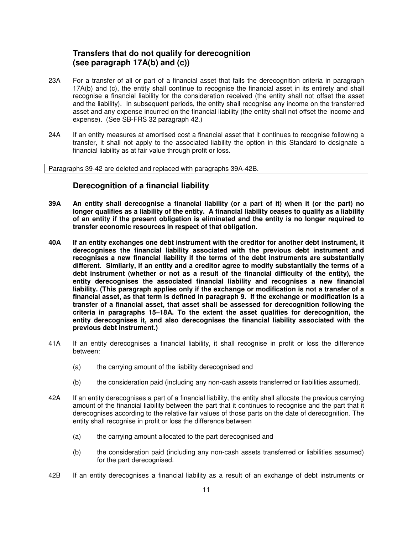### **Transfers that do not qualify for derecognition (see paragraph 17A(b) and (c))**

- 23A For a transfer of all or part of a financial asset that fails the derecognition criteria in paragraph 17A(b) and (c), the entity shall continue to recognise the financial asset in its entirety and shall recognise a financial liability for the consideration received (the entity shall not offset the asset and the liability). In subsequent periods, the entity shall recognise any income on the transferred asset and any expense incurred on the financial liability (the entity shall not offset the income and expense). (See SB-FRS 32 paragraph 42.)
- 24A If an entity measures at amortised cost a financial asset that it continues to recognise following a transfer, it shall not apply to the associated liability the option in this Standard to designate a financial liability as at fair value through profit or loss.

Paragraphs 39-42 are deleted and replaced with paragraphs 39A-42B.

### **Derecognition of a financial liability**

- **39A An entity shall derecognise a financial liability (or a part of it) when it (or the part) no longer qualifies as a liability of the entity. A financial liability ceases to qualify as a liability of an entity if the present obligation is eliminated and the entity is no longer required to transfer economic resources in respect of that obligation.**
- **40A If an entity exchanges one debt instrument with the creditor for another debt instrument, it derecognises the financial liability associated with the previous debt instrument and recognises a new financial liability if the terms of the debt instruments are substantially different. Similarly, if an entity and a creditor agree to modify substantially the terms of a debt instrument (whether or not as a result of the financial difficulty of the entity), the entity derecognises the associated financial liability and recognises a new financial liability. (This paragraph applies only if the exchange or modification is not a transfer of a financial asset, as that term is defined in paragraph 9. If the exchange or modification is a transfer of a financial asset, that asset shall be assessed for derecognition following the criteria in paragraphs 15–18A. To the extent the asset qualifies for derecognition, the entity derecognises it, and also derecognises the financial liability associated with the previous debt instrument.)**
- 41A If an entity derecognises a financial liability, it shall recognise in profit or loss the difference between:
	- (a) the carrying amount of the liability derecognised and
	- (b) the consideration paid (including any non-cash assets transferred or liabilities assumed).
- 42A If an entity derecognises a part of a financial liability, the entity shall allocate the previous carrying amount of the financial liability between the part that it continues to recognise and the part that it derecognises according to the relative fair values of those parts on the date of derecognition. The entity shall recognise in profit or loss the difference between
	- (a) the carrying amount allocated to the part derecognised and
	- (b) the consideration paid (including any non-cash assets transferred or liabilities assumed) for the part derecognised.
- 42B If an entity derecognises a financial liability as a result of an exchange of debt instruments or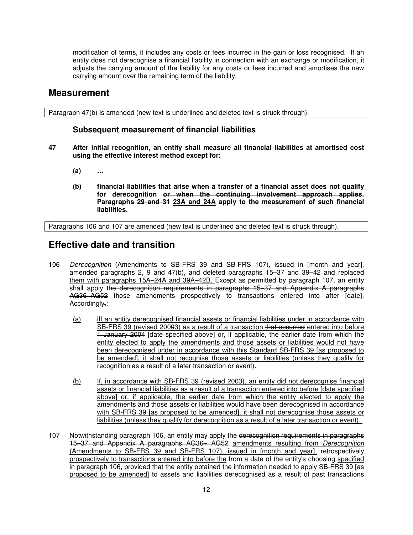modification of terms, it includes any costs or fees incurred in the gain or loss recognised. If an entity does not derecognise a financial liability in connection with an exchange or modification, it adjusts the carrying amount of the liability for any costs or fees incurred and amortises the new carrying amount over the remaining term of the liability.

### **Measurement**

Paragraph 47(b) is amended (new text is underlined and deleted text is struck through).

### **Subsequent measurement of financial liabilities**

- **47 After initial recognition, an entity shall measure all financial liabilities at amortised cost using the effective interest method except for:** 
	- **(a) …**
	- **(b) financial liabilities that arise when a transfer of a financial asset does not qualify for derecognition or when the continuing involvement approach applies. Paragraphs 29 and 31 23A and 24A apply to the measurement of such financial liabilities.**

Paragraphs 106 and 107 are amended (new text is underlined and deleted text is struck through).

### **Effective date and transition**

- 106 Derecognition (Amendments to SB-FRS 39 and SB-FRS 107), issued in [month and year], amended paragraphs 2, 9 and 47(b), and deleted paragraphs 15–37 and 39–42 and replaced them with paragraphs 15A–24A and 39A–42B. Except as permitted by paragraph 107, an entity shall apply the derecognition requirements in paragraphs 15–37 and Appendix A paragraphs AG36–AG52 those amendments prospectively to transactions entered into after [date]. Accordingly,:
	- (a) iIf an entity derecognised financial assets or financial liabilities under in accordance with SB-FRS 39 (revised 20003) as a result of a transaction that occurred entered into before 1 January 2004 [date specified above] or, if applicable, the earlier date from which the entity elected to apply the amendments and those assets or liabilities would not have been derecognised under in accordance with this Standard SB-FRS 39 [as proposed to be amended], it shall not recognise those assets or liabilities (unless they qualify for recognition as a result of a later transaction or event).
	- (b) If, in accordance with SB-FRS 39 (revised 2003), an entity did not derecognise financial assets or financial liabilities as a result of a transaction entered into before [date specified above] or, if applicable, the earlier date from which the entity elected to apply the amendments and those assets or liabilities would have been derecognised in accordance with SB-FRS 39 [as proposed to be amended], it shall not derecognise those assets or liabilities (unless they qualify for derecognition as a result of a later transaction or event).
- 107 Notwithstanding paragraph 106, an entity may apply the derecognition requirements in paragraphs 15–37 and Appendix A paragraphs AG36– AG52 amendments resulting from Derecognition (Amendments to SB-FRS 39 and SB-FRS 107), issued in [month and year], retrospectively prospectively to transactions entered into before the from a date of the entity's choosing specified in paragraph 106, provided that the entity obtained the information needed to apply SB-FRS 39 [as proposed to be amended] to assets and liabilities derecognised as a result of past transactions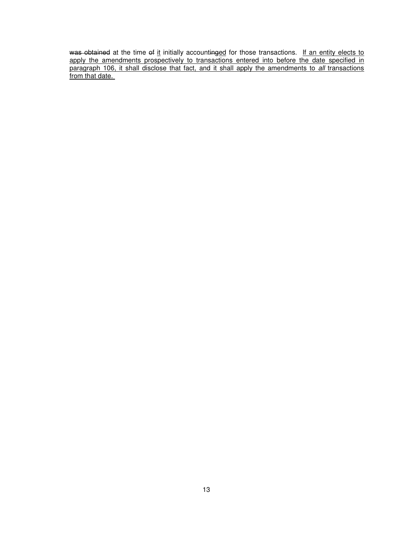was obtained at the time of it initially accounti<del>nged</del> for those transactions. If an entity elects to apply the amendments prospectively to transactions entered into before the date specified in paragraph 106, it shall disclose that fact, and it shall apply the amendments to all transactions from that date.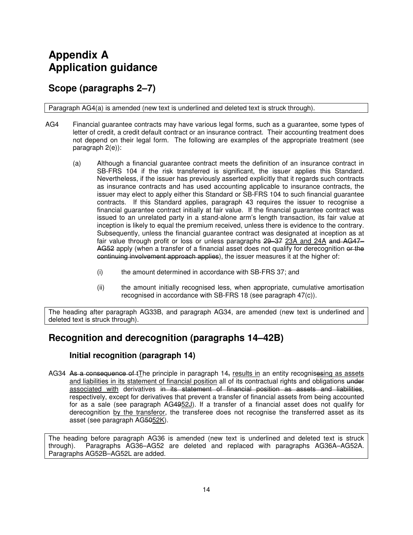## **Appendix A Application guidance**

## **Scope (paragraphs 2–7)**

Paragraph AG4(a) is amended (new text is underlined and deleted text is struck through).

- AG4 Financial guarantee contracts may have various legal forms, such as a guarantee, some types of letter of credit, a credit default contract or an insurance contract. Their accounting treatment does not depend on their legal form. The following are examples of the appropriate treatment (see paragraph 2(e)):
	- (a) Although a financial guarantee contract meets the definition of an insurance contract in SB-FRS 104 if the risk transferred is significant, the issuer applies this Standard. Nevertheless, if the issuer has previously asserted explicitly that it regards such contracts as insurance contracts and has used accounting applicable to insurance contracts, the issuer may elect to apply either this Standard or SB-FRS 104 to such financial guarantee contracts. If this Standard applies, paragraph 43 requires the issuer to recognise a financial guarantee contract initially at fair value. If the financial guarantee contract was issued to an unrelated party in a stand-alone arm's length transaction, its fair value at inception is likely to equal the premium received, unless there is evidence to the contrary. Subsequently, unless the financial guarantee contract was designated at inception as at fair value through profit or loss or unless paragraphs 29–37 23A and 24A and AG47– AG52 apply (when a transfer of a financial asset does not qualify for derecognition or the continuing involvement approach applies), the issuer measures it at the higher of:
		- (i) the amount determined in accordance with SB-FRS 37; and
		- (ii) the amount initially recognised less, when appropriate, cumulative amortisation recognised in accordance with SB-FRS 18 (see paragraph 47(c)).

The heading after paragraph AG33B, and paragraph AG34, are amended (new text is underlined and deleted text is struck through).

## **Recognition and derecognition (paragraphs 14–42B)**

### **Initial recognition (paragraph 14)**

AG34 As a consequence of tThe principle in paragraph 14, results in an entity recognisesing as assets and liabilities in its statement of financial position all of its contractual rights and obligations under associated with derivatives in its statement of financial position as assets and liabilities, respectively, except for derivatives that prevent a transfer of financial assets from being accounted for as a sale (see paragraph AG4952J). If a transfer of a financial asset does not qualify for derecognition by the transferor, the transferee does not recognise the transferred asset as its asset (see paragraph AG5052K).

The heading before paragraph AG36 is amended (new text is underlined and deleted text is struck through). Paragraphs AG36–AG52 are deleted and replaced with paragraphs AG36A–AG52A. Paragraphs AG52B–AG52L are added.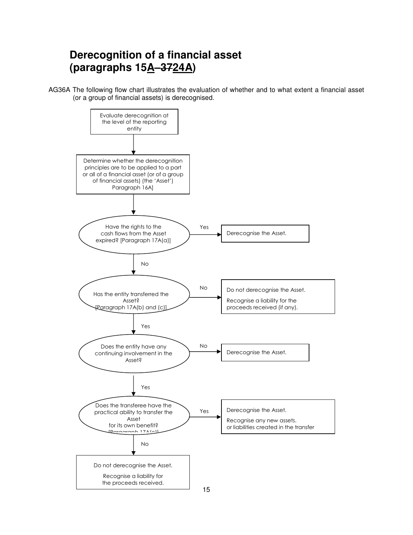## **Derecognition of a financial asset (paragraphs 15A–3724A)**

AG36A The following flow chart illustrates the evaluation of whether and to what extent a financial asset (or a group of financial assets) is derecognised.

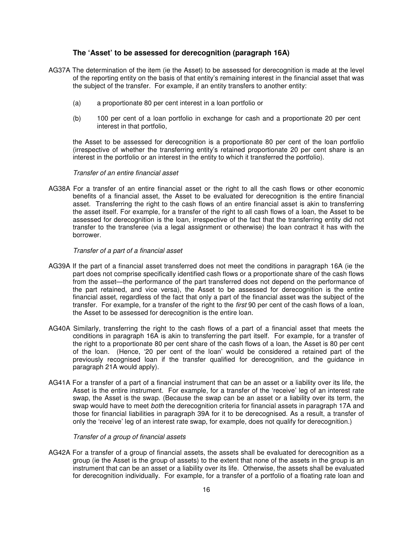#### **The 'Asset' to be assessed for derecognition (paragraph 16A)**

- AG37A The determination of the item (ie the Asset) to be assessed for derecognition is made at the level of the reporting entity on the basis of that entity's remaining interest in the financial asset that was the subject of the transfer. For example, if an entity transfers to another entity:
	- (a) a proportionate 80 per cent interest in a loan portfolio or
	- (b) 100 per cent of a loan portfolio in exchange for cash and a proportionate 20 per cent interest in that portfolio,

the Asset to be assessed for derecognition is a proportionate 80 per cent of the loan portfolio (irrespective of whether the transferring entity's retained proportionate 20 per cent share is an interest in the portfolio or an interest in the entity to which it transferred the portfolio).

#### Transfer of an entire financial asset

AG38A For a transfer of an entire financial asset or the right to all the cash flows or other economic benefits of a financial asset, the Asset to be evaluated for derecognition is the entire financial asset. Transferring the right to the cash flows of an entire financial asset is akin to transferring the asset itself. For example, for a transfer of the right to all cash flows of a loan, the Asset to be assessed for derecognition is the loan, irrespective of the fact that the transferring entity did not transfer to the transferee (via a legal assignment or otherwise) the loan contract it has with the borrower.

#### Transfer of a part of a financial asset

- AG39A If the part of a financial asset transferred does not meet the conditions in paragraph 16A (ie the part does not comprise specifically identified cash flows or a proportionate share of the cash flows from the asset—the performance of the part transferred does not depend on the performance of the part retained, and vice versa), the Asset to be assessed for derecognition is the entire financial asset, regardless of the fact that only a part of the financial asset was the subject of the transfer. For example, for a transfer of the right to the first 90 per cent of the cash flows of a loan, the Asset to be assessed for derecognition is the entire loan.
- AG40A Similarly, transferring the right to the cash flows of a part of a financial asset that meets the conditions in paragraph 16A is akin to transferring the part itself. For example, for a transfer of the right to a proportionate 80 per cent share of the cash flows of a loan, the Asset is 80 per cent of the loan. (Hence, '20 per cent of the loan' would be considered a retained part of the previously recognised loan if the transfer qualified for derecognition, and the guidance in paragraph 21A would apply).
- AG41A For a transfer of a part of a financial instrument that can be an asset or a liability over its life, the Asset is the entire instrument. For example, for a transfer of the 'receive' leg of an interest rate swap, the Asset is the swap. (Because the swap can be an asset or a liability over its term, the swap would have to meet *both* the derecognition criteria for financial assets in paragraph 17A and those for financial liabilities in paragraph 39A for it to be derecognised. As a result, a transfer of only the 'receive' leg of an interest rate swap, for example, does not qualify for derecognition.)

#### Transfer of a group of financial assets

AG42A For a transfer of a group of financial assets, the assets shall be evaluated for derecognition as a group (ie the Asset is the group of assets) to the extent that none of the assets in the group is an instrument that can be an asset or a liability over its life. Otherwise, the assets shall be evaluated for derecognition individually. For example, for a transfer of a portfolio of a floating rate loan and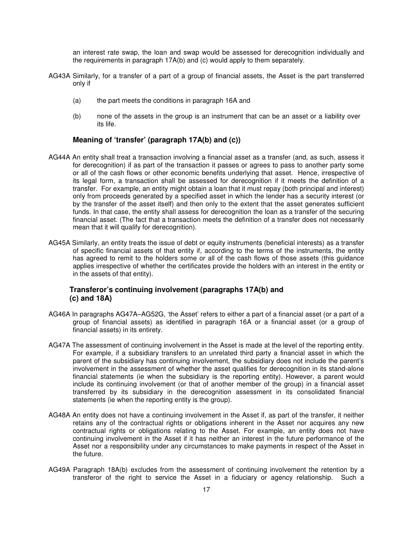an interest rate swap, the loan and swap would be assessed for derecognition individually and the requirements in paragraph 17A(b) and (c) would apply to them separately.

- AG43A Similarly, for a transfer of a part of a group of financial assets, the Asset is the part transferred only if
	- (a) the part meets the conditions in paragraph 16A and
	- (b) none of the assets in the group is an instrument that can be an asset or a liability over its life.

#### **Meaning of 'transfer' (paragraph 17A(b) and (c))**

- AG44A An entity shall treat a transaction involving a financial asset as a transfer (and, as such, assess it for derecognition) if as part of the transaction it passes or agrees to pass to another party some or all of the cash flows or other economic benefits underlying that asset. Hence, irrespective of its legal form, a transaction shall be assessed for derecognition if it meets the definition of a transfer. For example, an entity might obtain a loan that it must repay (both principal and interest) only from proceeds generated by a specified asset in which the lender has a security interest (or by the transfer of the asset itself) and then only to the extent that the asset generates sufficient funds. In that case, the entity shall assess for derecognition the loan as a transfer of the securing financial asset. (The fact that a transaction meets the definition of a transfer does not necessarily mean that it will qualify for derecognition).
- AG45A Similarly, an entity treats the issue of debt or equity instruments (beneficial interests) as a transfer of specific financial assets of that entity if, according to the terms of the instruments, the entity has agreed to remit to the holders some or all of the cash flows of those assets (this guidance applies irrespective of whether the certificates provide the holders with an interest in the entity or in the assets of that entity).

#### **Transferor's continuing involvement (paragraphs 17A(b) and (c) and 18A)**

- AG46A In paragraphs AG47A–AG52G, 'the Asset' refers to either a part of a financial asset (or a part of a group of financial assets) as identified in paragraph 16A or a financial asset (or a group of financial assets) in its entirety.
- AG47A The assessment of continuing involvement in the Asset is made at the level of the reporting entity. For example, if a subsidiary transfers to an unrelated third party a financial asset in which the parent of the subsidiary has continuing involvement, the subsidiary does not include the parent's involvement in the assessment of whether the asset qualifies for derecognition in its stand-alone financial statements (ie when the subsidiary is the reporting entity). However, a parent would include its continuing involvement (or that of another member of the group) in a financial asset transferred by its subsidiary in the derecognition assessment in its consolidated financial statements (ie when the reporting entity is the group).
- AG48A An entity does not have a continuing involvement in the Asset if, as part of the transfer, it neither retains any of the contractual rights or obligations inherent in the Asset nor acquires any new contractual rights or obligations relating to the Asset. For example, an entity does not have continuing involvement in the Asset if it has neither an interest in the future performance of the Asset nor a responsibility under any circumstances to make payments in respect of the Asset in the future.
- AG49A Paragraph 18A(b) excludes from the assessment of continuing involvement the retention by a transferor of the right to service the Asset in a fiduciary or agency relationship. Such a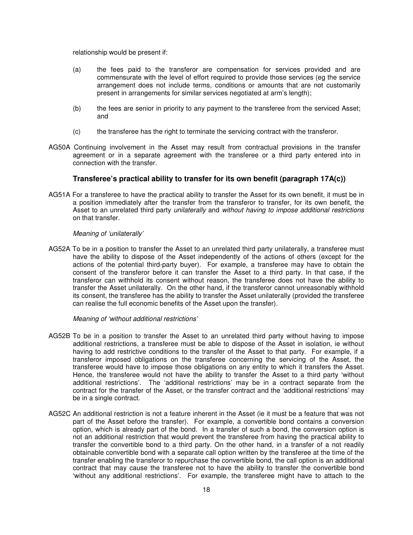relationship would be present if:

- (a) the fees paid to the transferor are compensation for services provided and are commensurate with the level of effort required to provide those services (eg the service arrangement does not include terms, conditions or amounts that are not customarily present in arrangements for similar services negotiated at arm's length);
- (b) the fees are senior in priority to any payment to the transferee from the serviced Asset; and
- (c) the transferee has the right to terminate the servicing contract with the transferor.
- AG50A Continuing involvement in the Asset may result from contractual provisions in the transfer agreement or in a separate agreement with the transferee or a third party entered into in connection with the transfer.

#### **Transferee's practical ability to transfer for its own benefit (paragraph 17A(c))**

AG51A For a transferee to have the practical ability to transfer the Asset for its own benefit, it must be in a position immediately after the transfer from the transferor to transfer, for its own benefit, the Asset to an unrelated third party *unilaterally* and *without having to impose additional restrictions* on that transfer.

#### Meaning of 'unilaterally'

AG52A To be in a position to transfer the Asset to an unrelated third party unilaterally, a transferee must have the ability to dispose of the Asset independently of the actions of others (except for the actions of the potential third-party buyer). For example, a transferee may have to obtain the consent of the transferor before it can transfer the Asset to a third party. In that case, if the transferor can withhold its consent without reason, the transferee does not have the ability to transfer the Asset unilaterally. On the other hand, if the transferor cannot unreasonably withhold its consent, the transferee has the ability to transfer the Asset unilaterally (provided the transferee can realise the full economic benefits of the Asset upon the transfer).

Meaning of 'without additional restrictions'

- AG52B To be in a position to transfer the Asset to an unrelated third party without having to impose additional restrictions, a transferee must be able to dispose of the Asset in isolation, ie without having to add restrictive conditions to the transfer of the Asset to that party. For example, if a transferor imposed obligations on the transferee concerning the servicing of the Asset, the transferee would have to impose those obligations on any entity to which it transfers the Asset. Hence, the transferee would not have the ability to transfer the Asset to a third party 'without additional restrictions'. The 'additional restrictions' may be in a contract separate from the contract for the transfer of the Asset, or the transfer contract and the 'additional restrictions' may be in a single contract.
- AG52C An additional restriction is not a feature inherent in the Asset (ie it must be a feature that was not part of the Asset before the transfer). For example, a convertible bond contains a conversion option, which is already part of the bond. In a transfer of such a bond, the conversion option is not an additional restriction that would prevent the transferee from having the practical ability to transfer the convertible bond to a third party. On the other hand, in a transfer of a not readily obtainable convertible bond with a separate call option written by the transferee at the time of the transfer enabling the transferor to repurchase the convertible bond, the call option is an additional contract that may cause the transferee not to have the ability to transfer the convertible bond 'without any additional restrictions'. For example, the transferee might have to attach to the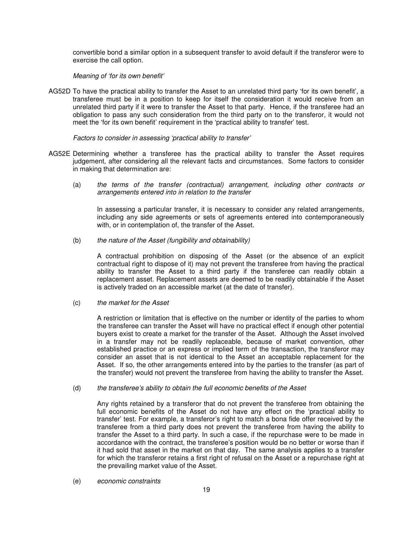convertible bond a similar option in a subsequent transfer to avoid default if the transferor were to exercise the call option.

#### Meaning of 'for its own benefit'

AG52D To have the practical ability to transfer the Asset to an unrelated third party 'for its own benefit', a transferee must be in a position to keep for itself the consideration it would receive from an unrelated third party if it were to transfer the Asset to that party. Hence, if the transferee had an obligation to pass any such consideration from the third party on to the transferor, it would not meet the 'for its own benefit' requirement in the 'practical ability to transfer' test.

#### Factors to consider in assessing 'practical ability to transfer'

- AG52E Determining whether a transferee has the practical ability to transfer the Asset requires judgement, after considering all the relevant facts and circumstances. Some factors to consider in making that determination are:
	- (a) the terms of the transfer (contractual) arrangement, including other contracts or arrangements entered into in relation to the transfer

In assessing a particular transfer, it is necessary to consider any related arrangements, including any side agreements or sets of agreements entered into contemporaneously with, or in contemplation of, the transfer of the Asset.

 $(b)$  the nature of the Asset (fungibility and obtainability)

 A contractual prohibition on disposing of the Asset (or the absence of an explicit contractual right to dispose of it) may not prevent the transferee from having the practical ability to transfer the Asset to a third party if the transferee can readily obtain a replacement asset. Replacement assets are deemed to be readily obtainable if the Asset is actively traded on an accessible market (at the date of transfer).

#### (c) the market for the Asset

 A restriction or limitation that is effective on the number or identity of the parties to whom the transferee can transfer the Asset will have no practical effect if enough other potential buyers exist to create a market for the transfer of the Asset. Although the Asset involved in a transfer may not be readily replaceable, because of market convention, other established practice or an express or implied term of the transaction, the transferor may consider an asset that is not identical to the Asset an acceptable replacement for the Asset. If so, the other arrangements entered into by the parties to the transfer (as part of the transfer) would not prevent the transferee from having the ability to transfer the Asset.

#### (d) the transferee's ability to obtain the full economic benefits of the Asset

 Any rights retained by a transferor that do not prevent the transferee from obtaining the full economic benefits of the Asset do not have any effect on the 'practical ability to transfer' test. For example, a transferor's right to match a bona fide offer received by the transferee from a third party does not prevent the transferee from having the ability to transfer the Asset to a third party. In such a case, if the repurchase were to be made in accordance with the contract, the transferee's position would be no better or worse than if it had sold that asset in the market on that day. The same analysis applies to a transfer for which the transferor retains a first right of refusal on the Asset or a repurchase right at the prevailing market value of the Asset.

(e) economic constraints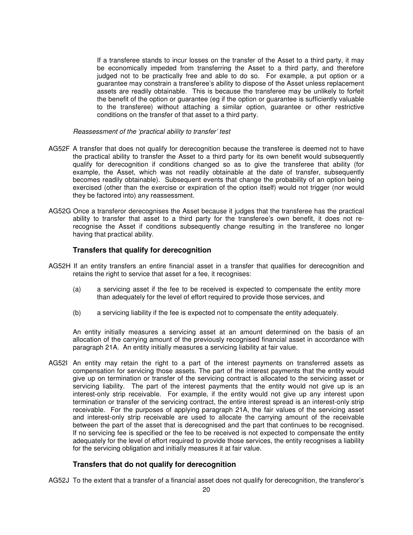If a transferee stands to incur losses on the transfer of the Asset to a third party, it may be economically impeded from transferring the Asset to a third party, and therefore judged not to be practically free and able to do so. For example, a put option or a guarantee may constrain a transferee's ability to dispose of the Asset unless replacement assets are readily obtainable. This is because the transferee may be unlikely to forfeit the benefit of the option or guarantee (eg if the option or guarantee is sufficiently valuable to the transferee) without attaching a similar option, guarantee or other restrictive conditions on the transfer of that asset to a third party.

Reassessment of the 'practical ability to transfer' test

- AG52F A transfer that does not qualify for derecognition because the transferee is deemed not to have the practical ability to transfer the Asset to a third party for its own benefit would subsequently qualify for derecognition if conditions changed so as to give the transferee that ability (for example, the Asset, which was not readily obtainable at the date of transfer, subsequently becomes readily obtainable). Subsequent events that change the probability of an option being exercised (other than the exercise or expiration of the option itself) would not trigger (nor would they be factored into) any reassessment.
- AG52G Once a transferor derecognises the Asset because it judges that the transferee has the practical ability to transfer that asset to a third party for the transferee's own benefit, it does not rerecognise the Asset if conditions subsequently change resulting in the transferee no longer having that practical ability.

#### **Transfers that qualify for derecognition**

- AG52H If an entity transfers an entire financial asset in a transfer that qualifies for derecognition and retains the right to service that asset for a fee, it recognises:
	- (a) a servicing asset if the fee to be received is expected to compensate the entity more than adequately for the level of effort required to provide those services, and
	- (b) a servicing liability if the fee is expected not to compensate the entity adequately.

An entity initially measures a servicing asset at an amount determined on the basis of an allocation of the carrying amount of the previously recognised financial asset in accordance with paragraph 21A. An entity initially measures a servicing liability at fair value.

AG52I An entity may retain the right to a part of the interest payments on transferred assets as compensation for servicing those assets. The part of the interest payments that the entity would give up on termination or transfer of the servicing contract is allocated to the servicing asset or servicing liability. The part of the interest payments that the entity would not give up is an interest-only strip receivable. For example, if the entity would not give up any interest upon termination or transfer of the servicing contract, the entire interest spread is an interest-only strip receivable. For the purposes of applying paragraph 21A, the fair values of the servicing asset and interest-only strip receivable are used to allocate the carrying amount of the receivable between the part of the asset that is derecognised and the part that continues to be recognised. If no servicing fee is specified or the fee to be received is not expected to compensate the entity adequately for the level of effort required to provide those services, the entity recognises a liability for the servicing obligation and initially measures it at fair value.

#### **Transfers that do not qualify for derecognition**

AG52J To the extent that a transfer of a financial asset does not qualify for derecognition, the transferor's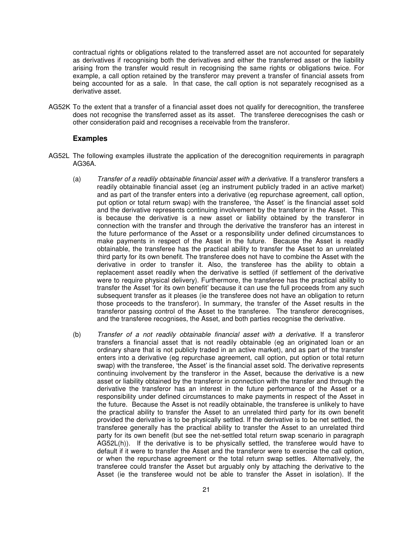contractual rights or obligations related to the transferred asset are not accounted for separately as derivatives if recognising both the derivatives and either the transferred asset or the liability arising from the transfer would result in recognising the same rights or obligations twice. For example, a call option retained by the transferor may prevent a transfer of financial assets from being accounted for as a sale. In that case, the call option is not separately recognised as a derivative asset.

AG52K To the extent that a transfer of a financial asset does not qualify for derecognition, the transferee does not recognise the transferred asset as its asset. The transferee derecognises the cash or other consideration paid and recognises a receivable from the transferor.

#### **Examples**

- AG52L The following examples illustrate the application of the derecognition requirements in paragraph AG36A.
	- (a) Transfer of a readily obtainable financial asset with a derivative. If a transferor transfers a readily obtainable financial asset (eg an instrument publicly traded in an active market) and as part of the transfer enters into a derivative (eg repurchase agreement, call option, put option or total return swap) with the transferee, 'the Asset' is the financial asset sold and the derivative represents continuing involvement by the transferor in the Asset. This is because the derivative is a new asset or liability obtained by the transferor in connection with the transfer and through the derivative the transferor has an interest in the future performance of the Asset or a responsibility under defined circumstances to make payments in respect of the Asset in the future. Because the Asset is readily obtainable, the transferee has the practical ability to transfer the Asset to an unrelated third party for its own benefit. The transferee does not have to combine the Asset with the derivative in order to transfer it. Also, the transferee has the ability to obtain a replacement asset readily when the derivative is settled (if settlement of the derivative were to require physical delivery). Furthermore, the transferee has the practical ability to transfer the Asset 'for its own benefit' because it can use the full proceeds from any such subsequent transfer as it pleases (ie the transferee does not have an obligation to return those proceeds to the transferor). In summary, the transfer of the Asset results in the transferor passing control of the Asset to the transferee. The transferor derecognises, and the transferee recognises, the Asset, and both parties recognise the derivative.
	- (b) Transfer of a not readily obtainable financial asset with a derivative. If a transferor transfers a financial asset that is not readily obtainable (eg an originated loan or an ordinary share that is not publicly traded in an active market), and as part of the transfer enters into a derivative (eg repurchase agreement, call option, put option or total return swap) with the transferee, 'the Asset' is the financial asset sold. The derivative represents continuing involvement by the transferor in the Asset, because the derivative is a new asset or liability obtained by the transferor in connection with the transfer and through the derivative the transferor has an interest in the future performance of the Asset or a responsibility under defined circumstances to make payments in respect of the Asset in the future. Because the Asset is not readily obtainable, the transferee is unlikely to have the practical ability to transfer the Asset to an unrelated third party for its own benefit provided the derivative is to be physically settled. If the derivative is to be net settled, the transferee generally has the practical ability to transfer the Asset to an unrelated third party for its own benefit (but see the net-settled total return swap scenario in paragraph  $AG52L(h)$ ). If the derivative is to be physically settled, the transferee would have to default if it were to transfer the Asset and the transferor were to exercise the call option, or when the repurchase agreement or the total return swap settles. Alternatively, the transferee could transfer the Asset but arguably only by attaching the derivative to the Asset (ie the transferee would not be able to transfer the Asset in isolation). If the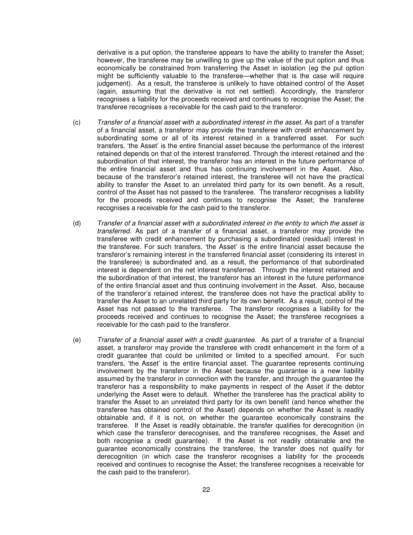derivative is a put option, the transferee appears to have the ability to transfer the Asset; however, the transferee may be unwilling to give up the value of the put option and thus economically be constrained from transferring the Asset in isolation (eg the put option might be sufficiently valuable to the transferee—whether that is the case will require judgement). As a result, the transferee is unlikely to have obtained control of the Asset (again, assuming that the derivative is not net settled). Accordingly, the transferor recognises a liability for the proceeds received and continues to recognise the Asset; the transferee recognises a receivable for the cash paid to the transferor.

- (c) Transfer of a financial asset with a subordinated interest in the asset. As part of a transfer of a financial asset, a transferor may provide the transferee with credit enhancement by subordinating some or all of its interest retained in a transferred asset. For such transfers, 'the Asset' is the entire financial asset because the performance of the interest retained depends on that of the interest transferred. Through the interest retained and the subordination of that interest, the transferor has an interest in the future performance of the entire financial asset and thus has continuing involvement in the Asset. Also, because of the transferor's retained interest, the transferee will not have the practical ability to transfer the Asset to an unrelated third party for its own benefit. As a result, control of the Asset has not passed to the transferee. The transferor recognises a liability for the proceeds received and continues to recognise the Asset; the transferee recognises a receivable for the cash paid to the transferor.
- (d) Transfer of a financial asset with a subordinated interest in the entity to which the asset is transferred. As part of a transfer of a financial asset, a transferor may provide the transferee with credit enhancement by purchasing a subordinated (residual) interest in the transferee. For such transfers, 'the Asset' is the entire financial asset because the transferor's remaining interest in the transferred financial asset (considering its interest in the transferee) is subordinated and, as a result, the performance of that subordinated interest is dependent on the net interest transferred. Through the interest retained and the subordination of that interest, the transferor has an interest in the future performance of the entire financial asset and thus continuing involvement in the Asset. Also, because of the transferor's retained interest, the transferee does not have the practical ability to transfer the Asset to an unrelated third party for its own benefit. As a result, control of the Asset has not passed to the transferee. The transferor recognises a liability for the proceeds received and continues to recognise the Asset; the transferee recognises a receivable for the cash paid to the transferor.
- (e) Transfer of a financial asset with a credit guarantee. As part of a transfer of a financial asset, a transferor may provide the transferee with credit enhancement in the form of a credit guarantee that could be unlimited or limited to a specified amount. For such transfers, 'the Asset' is the entire financial asset. The guarantee represents continuing involvement by the transferor in the Asset because the guarantee is a new liability assumed by the transferor in connection with the transfer, and through the guarantee the transferor has a responsibility to make payments in respect of the Asset if the debtor underlying the Asset were to default. Whether the transferee has the practical ability to transfer the Asset to an unrelated third party for its own benefit (and hence whether the transferee has obtained control of the Asset) depends on whether the Asset is readily obtainable and, if it is not, on whether the guarantee economically constrains the transferee. If the Asset is readily obtainable, the transfer qualifies for derecognition (in which case the transferor derecognises, and the transferee recognises, the Asset and both recognise a credit guarantee). If the Asset is not readily obtainable and the guarantee economically constrains the transferee, the transfer does not qualify for derecognition (in which case the transferor recognises a liability for the proceeds received and continues to recognise the Asset; the transferee recognises a receivable for the cash paid to the transferor).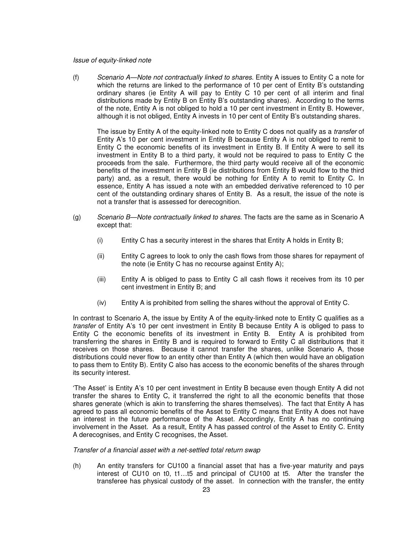#### Issue of equity-linked note

(f) Scenario A—Note not contractually linked to shares. Entity A issues to Entity C a note for which the returns are linked to the performance of 10 per cent of Entity B's outstanding ordinary shares (ie Entity A will pay to Entity C 10 per cent of all interim and final distributions made by Entity B on Entity B's outstanding shares). According to the terms of the note, Entity A is not obliged to hold a 10 per cent investment in Entity B. However, although it is not obliged, Entity A invests in 10 per cent of Entity B's outstanding shares.

The issue by Entity A of the equity-linked note to Entity C does not qualify as a *transfer* of Entity A's 10 per cent investment in Entity B because Entity A is not obliged to remit to Entity C the economic benefits of its investment in Entity B. If Entity A were to sell its investment in Entity B to a third party, it would not be required to pass to Entity C the proceeds from the sale. Furthermore, the third party would receive all of the economic benefits of the investment in Entity B (ie distributions from Entity B would flow to the third party) and, as a result, there would be nothing for Entity A to remit to Entity C. In essence, Entity A has issued a note with an embedded derivative referenced to 10 per cent of the outstanding ordinary shares of Entity B. As a result, the issue of the note is not a transfer that is assessed for derecognition.

- (g) Scenario B—Note contractually linked to shares. The facts are the same as in Scenario A except that:
	- (i) Entity C has a security interest in the shares that Entity A holds in Entity B;
	- (ii) Entity C agrees to look to only the cash flows from those shares for repayment of the note (ie Entity C has no recourse against Entity A);
	- (iii) Entity A is obliged to pass to Entity C all cash flows it receives from its 10 per cent investment in Entity B; and
	- (iv) Entity A is prohibited from selling the shares without the approval of Entity C.

In contrast to Scenario A, the issue by Entity A of the equity-linked note to Entity C qualifies as a transfer of Entity A's 10 per cent investment in Entity B because Entity A is obliged to pass to Entity C the economic benefits of its investment in Entity B. Entity A is prohibited from transferring the shares in Entity B and is required to forward to Entity C all distributions that it receives on those shares. Because it cannot transfer the shares, unlike Scenario A, those distributions could never flow to an entity other than Entity A (which then would have an obligation to pass them to Entity B). Entity C also has access to the economic benefits of the shares through its security interest.

'The Asset' is Entity A's 10 per cent investment in Entity B because even though Entity A did not transfer the shares to Entity C, it transferred the right to all the economic benefits that those shares generate (which is akin to transferring the shares themselves). The fact that Entity A has agreed to pass all economic benefits of the Asset to Entity C means that Entity A does not have an interest in the future performance of the Asset. Accordingly, Entity A has no continuing involvement in the Asset. As a result, Entity A has passed control of the Asset to Entity C. Entity A derecognises, and Entity C recognises, the Asset.

Transfer of a financial asset with a net-settled total return swap

(h) An entity transfers for CU100 a financial asset that has a five-year maturity and pays interest of CU10 on t0, t1…t5 and principal of CU100 at t5. After the transfer the transferee has physical custody of the asset. In connection with the transfer, the entity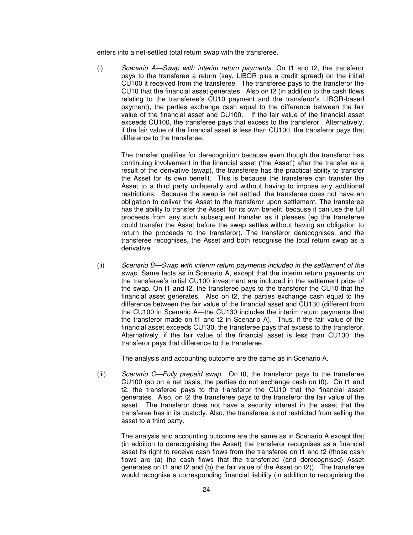enters into a net-settled total return swap with the transferee.

(i) Scenario A—Swap with interim return payments. On t1 and t2, the transferor pays to the transferee a return (say, LIBOR plus a credit spread) on the initial CU100 it received from the transferee. The transferee pays to the transferor the CU10 that the financial asset generates. Also on t2 (in addition to the cash flows relating to the transferee's CU10 payment and the transferor's LIBOR-based payment), the parties exchange cash equal to the difference between the fair value of the financial asset and CU100. If the fair value of the financial asset exceeds CU100, the transferee pays that excess to the transferor. Alternatively, if the fair value of the financial asset is less than CU100, the transferor pays that difference to the transferee.

 The transfer qualifies for derecognition because even though the transferor has continuing involvement in the financial asset ('the Asset') after the transfer as a result of the derivative (swap), the transferee has the practical ability to transfer the Asset for its own benefit. This is because the transferee can transfer the Asset to a third party unilaterally and without having to impose any additional restrictions. Because the swap is net settled, the transferee does not have an obligation to deliver the Asset to the transferor upon settlement. The transferee has the ability to transfer the Asset 'for its own benefit' because it can use the full proceeds from any such subsequent transfer as it pleases (eg the transferee could transfer the Asset before the swap settles without having an obligation to return the proceeds to the transferor). The transferor derecognises, and the transferee recognises, the Asset and both recognise the total return swap as a derivative.

(ii) Scenario B—Swap with interim return payments included in the settlement of the swap. Same facts as in Scenario A, except that the interim return payments on the transferee's initial CU100 investment are included in the settlement price of the swap. On t1 and t2, the transferee pays to the transferor the CU10 that the financial asset generates. Also on t2, the parties exchange cash equal to the difference between the fair value of the financial asset and CU130 (different from the CU100 in Scenario A—the CU130 includes the interim return payments that the transferor made on t1 and t2 in Scenario A). Thus, if the fair value of the financial asset exceeds CU130, the transferee pays that excess to the transferor. Alternatively, if the fair value of the financial asset is less than CU130, the transferor pays that difference to the transferee.

The analysis and accounting outcome are the same as in Scenario A.

(iii) Scenario C—Fully prepaid swap. On t0, the transferor pays to the transferee CU100 (so on a net basis, the parties do not exchange cash on t0). On t1 and t2, the transferee pays to the transferor the CU10 that the financial asset generates. Also, on t2 the transferee pays to the transferor the fair value of the asset. The transferor does not have a security interest in the asset that the transferee has in its custody. Also, the transferee is not restricted from selling the asset to a third party.

 The analysis and accounting outcome are the same as in Scenario A except that (in addition to derecognising the Asset) the transferor recognises as a financial asset its right to receive cash flows from the transferee on t1 and t2 (those cash flows are (a) the cash flows that the transferred (and derecognised) Asset generates on t1 and t2 and (b) the fair value of the Asset on t2)). The transferee would recognise a corresponding financial liability (in addition to recognising the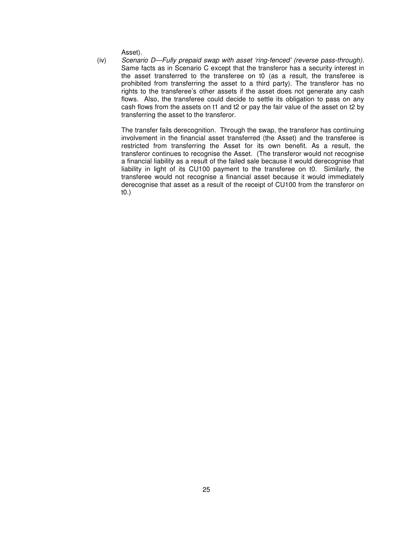Asset).

(iv) Scenario D—Fully prepaid swap with asset 'ring-fenced' (reverse pass-through). Same facts as in Scenario C except that the transferor has a security interest in the asset transferred to the transferee on t0 (as a result, the transferee is prohibited from transferring the asset to a third party). The transferor has no rights to the transferee's other assets if the asset does not generate any cash flows. Also, the transferee could decide to settle its obligation to pass on any cash flows from the assets on t1 and t2 or pay the fair value of the asset on t2 by transferring the asset to the transferor.

The transfer fails derecognition. Through the swap, the transferor has continuing involvement in the financial asset transferred (the Asset) and the transferee is restricted from transferring the Asset for its own benefit. As a result, the transferor continues to recognise the Asset. (The transferor would not recognise a financial liability as a result of the failed sale because it would derecognise that liability in light of its CU100 payment to the transferee on t0. Similarly, the transferee would not recognise a financial asset because it would immediately derecognise that asset as a result of the receipt of CU100 from the transferor on t0.)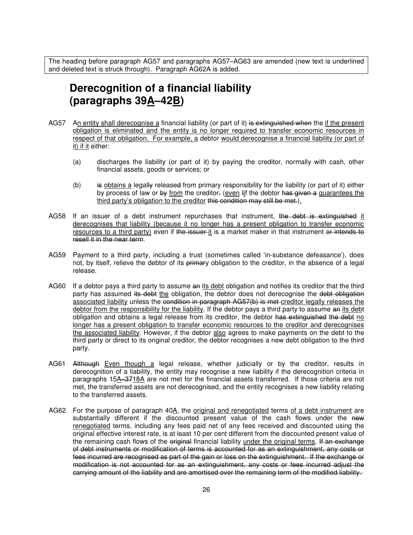The heading before paragraph AG57 and paragraphs AG57–AG63 are amended (new text is underlined and deleted text is struck through). Paragraph AG62A is added.

## **Derecognition of a financial liability (paragraphs 39A–42B)**

- AG57 An entity shall derecognise a financial liability (or part of it) is extinguished when the if the present obligation is eliminated and the entity is no longer required to transfer economic resources in respect of that obligation. For example, a debtor would derecognise a financial liability (or part of it) if it either:
	- (a) discharges the liability (or part of it) by paying the creditor, normally with cash, other financial assets, goods or services; or
	- (b) is obtains a legally released from primary responsibility for the liability (or part of it) either by process of law or by from the creditor- (even  $\frac{1}{2}$  if the debtor has given a guarantees the third party's obligation to the creditor this condition may still be met.).
- AG58 If an issuer of a debt instrument repurchases that instrument, the debt is extinguished it derecognises that liability (because it no longer has a present obligation to transfer economic resources to a third party) even if the issuer it is a market maker in that instrument or intends to resell it in the near term.
- AG59 Payment to a third party, including a trust (sometimes called 'in-substance defeasance'), does not, by itself, relieve the debtor of its primary obligation to the creditor, in the absence of a legal release.
- AG60 If a debtor pays a third party to assume an its debt obligation and notifies its creditor that the third party has assumed its debt the obligation, the debtor does not derecognise the debt obligation associated liability unless the condition in paragraph AG57(b) is met creditor legally releases the debtor from the responsibility for the liability. If the debtor pays a third party to assume an its debt obligation and obtains a legal release from its creditor, the debtor has extinguished the debt no longer has a present obligation to transfer economic resources to the creditor and derecognises the associated liability. However, if the debtor also agrees to make payments on the debt to the third party or direct to its original creditor, the debtor recognises a new debt obligation to the third party.
- AG61 Although Even though a legal release, whether judicially or by the creditor, results in derecognition of a liability, the entity may recognise a new liability if the derecognition criteria in paragraphs 15A–3718A are not met for the financial assets transferred. If those criteria are not met, the transferred assets are not derecognised, and the entity recognises a new liability relating to the transferred assets.
- AG62 For the purpose of paragraph 40A, the original and renegotiated terms of a debt instrument are substantially different if the discounted present value of the cash flows under the new renegotiated terms, including any fees paid net of any fees received and discounted using the original effective interest rate, is at least 10 per cent different from the discounted present value of the remaining cash flows of the original financial liability under the original terms. If an exchange of debt instruments or modification of terms is accounted for as an extinguishment, any costs or fees incurred are recognised as part of the gain or loss on the extinguishment. If the exchange or modification is not accounted for as an extinguishment, any costs or fees incurred adjust the carrying amount of the liability and are amortised over the remaining term of the modified liability.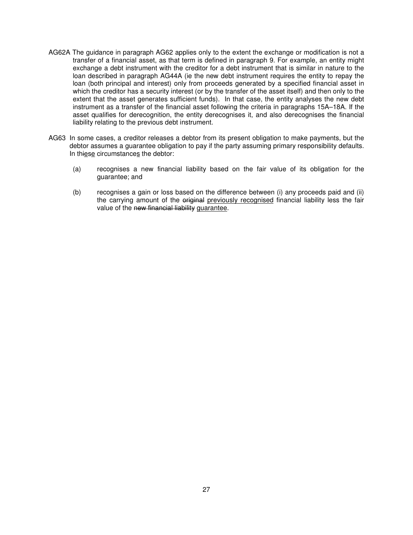- AG62A The guidance in paragraph AG62 applies only to the extent the exchange or modification is not a transfer of a financial asset, as that term is defined in paragraph 9. For example, an entity might exchange a debt instrument with the creditor for a debt instrument that is similar in nature to the loan described in paragraph AG44A (ie the new debt instrument requires the entity to repay the loan (both principal and interest) only from proceeds generated by a specified financial asset in which the creditor has a security interest (or by the transfer of the asset itself) and then only to the extent that the asset generates sufficient funds). In that case, the entity analyses the new debt instrument as a transfer of the financial asset following the criteria in paragraphs 15A–18A. If the asset qualifies for derecognition, the entity derecognises it, and also derecognises the financial liability relating to the previous debt instrument.
- AG63 In some cases, a creditor releases a debtor from its present obligation to make payments, but the debtor assumes a guarantee obligation to pay if the party assuming primary responsibility defaults. In thiese circumstances the debtor:
	- (a) recognises a new financial liability based on the fair value of its obligation for the guarantee; and
	- (b) recognises a gain or loss based on the difference between (i) any proceeds paid and (ii) the carrying amount of the original previously recognised financial liability less the fair value of the new financial liability guarantee.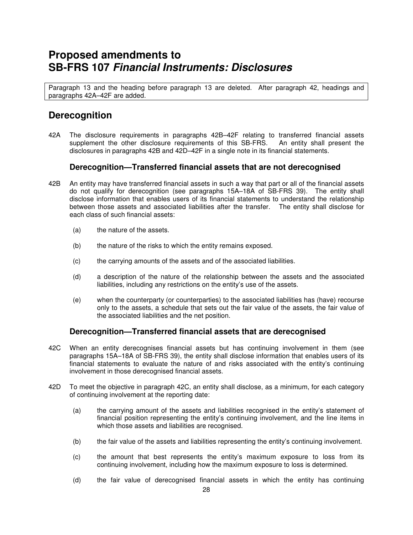## **Proposed amendments to SB-FRS 107 Financial Instruments: Disclosures**

Paragraph 13 and the heading before paragraph 13 are deleted. After paragraph 42, headings and paragraphs 42A–42F are added.

## **Derecognition**

42A The disclosure requirements in paragraphs 42B–42F relating to transferred financial assets supplement the other disclosure requirements of this SB-FRS. An entity shall present the disclosures in paragraphs 42B and 42D–42F in a single note in its financial statements.

### **Derecognition—Transferred financial assets that are not derecognised**

- 42B An entity may have transferred financial assets in such a way that part or all of the financial assets do not qualify for derecognition (see paragraphs 15A–18A of SB-FRS 39). The entity shall disclose information that enables users of its financial statements to understand the relationship between those assets and associated liabilities after the transfer. The entity shall disclose for each class of such financial assets:
	- (a) the nature of the assets.
	- (b) the nature of the risks to which the entity remains exposed.
	- (c) the carrying amounts of the assets and of the associated liabilities.
	- (d) a description of the nature of the relationship between the assets and the associated liabilities, including any restrictions on the entity's use of the assets.
	- (e) when the counterparty (or counterparties) to the associated liabilities has (have) recourse only to the assets, a schedule that sets out the fair value of the assets, the fair value of the associated liabilities and the net position.

### **Derecognition—Transferred financial assets that are derecognised**

- 42C When an entity derecognises financial assets but has continuing involvement in them (see paragraphs 15A–18A of SB-FRS 39), the entity shall disclose information that enables users of its financial statements to evaluate the nature of and risks associated with the entity's continuing involvement in those derecognised financial assets.
- 42D To meet the objective in paragraph 42C, an entity shall disclose, as a minimum, for each category of continuing involvement at the reporting date:
	- (a) the carrying amount of the assets and liabilities recognised in the entity's statement of financial position representing the entity's continuing involvement, and the line items in which those assets and liabilities are recognised.
	- (b) the fair value of the assets and liabilities representing the entity's continuing involvement.
	- (c) the amount that best represents the entity's maximum exposure to loss from its continuing involvement, including how the maximum exposure to loss is determined.
	- (d) the fair value of derecognised financial assets in which the entity has continuing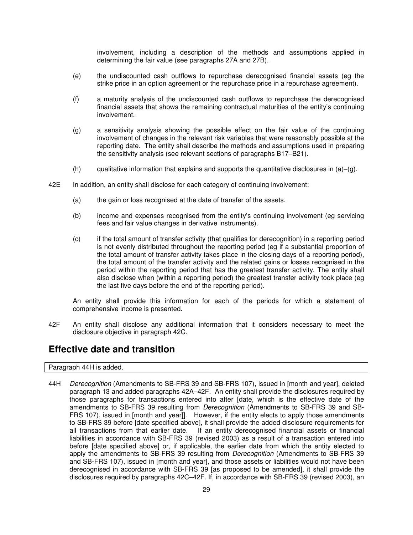involvement, including a description of the methods and assumptions applied in determining the fair value (see paragraphs 27A and 27B).

- (e) the undiscounted cash outflows to repurchase derecognised financial assets (eg the strike price in an option agreement or the repurchase price in a repurchase agreement).
- (f) a maturity analysis of the undiscounted cash outflows to repurchase the derecognised financial assets that shows the remaining contractual maturities of the entity's continuing involvement.
- (g) a sensitivity analysis showing the possible effect on the fair value of the continuing involvement of changes in the relevant risk variables that were reasonably possible at the reporting date. The entity shall describe the methods and assumptions used in preparing the sensitivity analysis (see relevant sections of paragraphs B17–B21).
- (h) qualitative information that explains and supports the quantitative disclosures in  $(a)$ – $(q)$ .
- 42E In addition, an entity shall disclose for each category of continuing involvement:
	- (a) the gain or loss recognised at the date of transfer of the assets.
	- (b) income and expenses recognised from the entity's continuing involvement (eg servicing fees and fair value changes in derivative instruments).
	- (c) if the total amount of transfer activity (that qualifies for derecognition) in a reporting period is not evenly distributed throughout the reporting period (eg if a substantial proportion of the total amount of transfer activity takes place in the closing days of a reporting period), the total amount of the transfer activity and the related gains or losses recognised in the period within the reporting period that has the greatest transfer activity. The entity shall also disclose when (within a reporting period) the greatest transfer activity took place (eg the last five days before the end of the reporting period).

An entity shall provide this information for each of the periods for which a statement of comprehensive income is presented.

42F An entity shall disclose any additional information that it considers necessary to meet the disclosure objective in paragraph 42C.

### **Effective date and transition**

Paragraph 44H is added.

44H Derecognition (Amendments to SB-FRS 39 and SB-FRS 107), issued in [month and year], deleted paragraph 13 and added paragraphs 42A–42F. An entity shall provide the disclosures required by those paragraphs for transactions entered into after [date, which is the effective date of the amendments to SB-FRS 39 resulting from Derecognition (Amendments to SB-FRS 39 and SB-FRS 107), issued in [month and year]]. However, if the entity elects to apply those amendments to SB-FRS 39 before [date specified above], it shall provide the added disclosure requirements for all transactions from that earlier date. If an entity derecognised financial assets or financial liabilities in accordance with SB-FRS 39 (revised 2003) as a result of a transaction entered into before [date specified above] or, if applicable, the earlier date from which the entity elected to apply the amendments to SB-FRS 39 resulting from *Derecognition* (Amendments to SB-FRS 39 and SB-FRS 107), issued in [month and year], and those assets or liabilities would not have been derecognised in accordance with SB-FRS 39 [as proposed to be amended], it shall provide the disclosures required by paragraphs 42C–42F. If, in accordance with SB-FRS 39 (revised 2003), an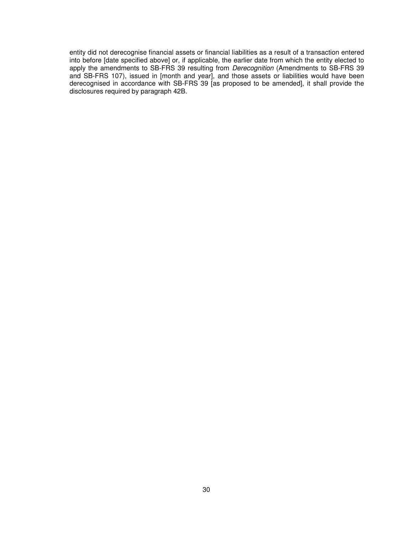entity did not derecognise financial assets or financial liabilities as a result of a transaction entered into before [date specified above] or, if applicable, the earlier date from which the entity elected to apply the amendments to SB-FRS 39 resulting from *Derecognition* (Amendments to SB-FRS 39 and SB-FRS 107), issued in [month and year], and those assets or liabilities would have been derecognised in accordance with SB-FRS 39 [as proposed to be amended], it shall provide the disclosures required by paragraph 42B.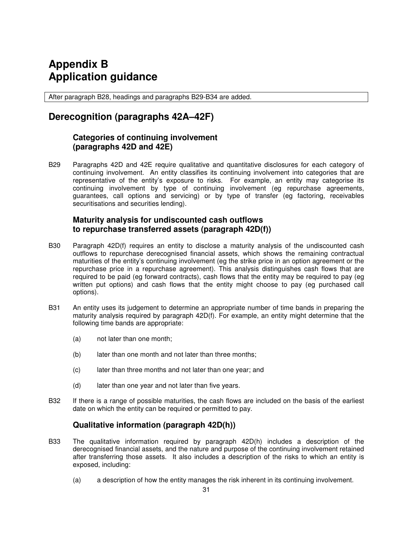## **Appendix B Application guidance**

After paragraph B28, headings and paragraphs B29-B34 are added.

## **Derecognition (paragraphs 42A–42F)**

### **Categories of continuing involvement (paragraphs 42D and 42E)**

B29 Paragraphs 42D and 42E require qualitative and quantitative disclosures for each category of continuing involvement. An entity classifies its continuing involvement into categories that are representative of the entity's exposure to risks. For example, an entity may categorise its continuing involvement by type of continuing involvement (eg repurchase agreements, guarantees, call options and servicing) or by type of transfer (eg factoring, receivables securitisations and securities lending).

### **Maturity analysis for undiscounted cash outflows to repurchase transferred assets (paragraph 42D(f))**

- B30 Paragraph 42D(f) requires an entity to disclose a maturity analysis of the undiscounted cash outflows to repurchase derecognised financial assets, which shows the remaining contractual maturities of the entity's continuing involvement (eg the strike price in an option agreement or the repurchase price in a repurchase agreement). This analysis distinguishes cash flows that are required to be paid (eg forward contracts), cash flows that the entity may be required to pay (eg written put options) and cash flows that the entity might choose to pay (eg purchased call options).
- B31 An entity uses its judgement to determine an appropriate number of time bands in preparing the maturity analysis required by paragraph 42D(f). For example, an entity might determine that the following time bands are appropriate:
	- (a) not later than one month;
	- (b) later than one month and not later than three months;
	- (c) later than three months and not later than one year; and
	- (d) later than one year and not later than five years.
- B32 If there is a range of possible maturities, the cash flows are included on the basis of the earliest date on which the entity can be required or permitted to pay.

### **Qualitative information (paragraph 42D(h))**

- B33 The qualitative information required by paragraph 42D(h) includes a description of the derecognised financial assets, and the nature and purpose of the continuing involvement retained after transferring those assets. It also includes a description of the risks to which an entity is exposed, including:
	- (a) a description of how the entity manages the risk inherent in its continuing involvement.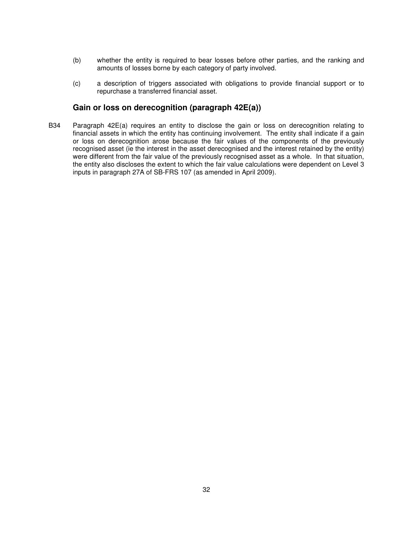- (b) whether the entity is required to bear losses before other parties, and the ranking and amounts of losses borne by each category of party involved.
- (c) a description of triggers associated with obligations to provide financial support or to repurchase a transferred financial asset.

### **Gain or loss on derecognition (paragraph 42E(a))**

B34 Paragraph 42E(a) requires an entity to disclose the gain or loss on derecognition relating to financial assets in which the entity has continuing involvement. The entity shall indicate if a gain or loss on derecognition arose because the fair values of the components of the previously recognised asset (ie the interest in the asset derecognised and the interest retained by the entity) were different from the fair value of the previously recognised asset as a whole. In that situation, the entity also discloses the extent to which the fair value calculations were dependent on Level 3 inputs in paragraph 27A of SB-FRS 107 (as amended in April 2009).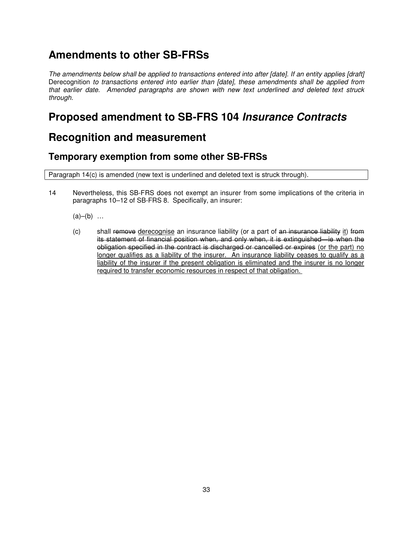## **Amendments to other SB-FRSs**

The amendments below shall be applied to transactions entered into after [date]. If an entity applies [draft] Derecognition to transactions entered into earlier than [date], these amendments shall be applied from that earlier date. Amended paragraphs are shown with new text underlined and deleted text struck through.

## **Proposed amendment to SB-FRS 104 Insurance Contracts**

## **Recognition and measurement**

## **Temporary exemption from some other SB-FRSs**

Paragraph 14(c) is amended (new text is underlined and deleted text is struck through).

14 Nevertheless, this SB-FRS does not exempt an insurer from some implications of the criteria in paragraphs 10–12 of SB-FRS 8. Specifically, an insurer:

 $(a)–(b)$  ...

 $(c)$  shall remove derecognise an insurance liability (or a part of an insurance liability it) from its statement of financial position when, and only when, it is extinguished—ie when the obligation specified in the contract is discharged or cancelled or expires (or the part) no longer qualifies as a liability of the insurer. An insurance liability ceases to qualify as a liability of the insurer if the present obligation is eliminated and the insurer is no longer required to transfer economic resources in respect of that obligation.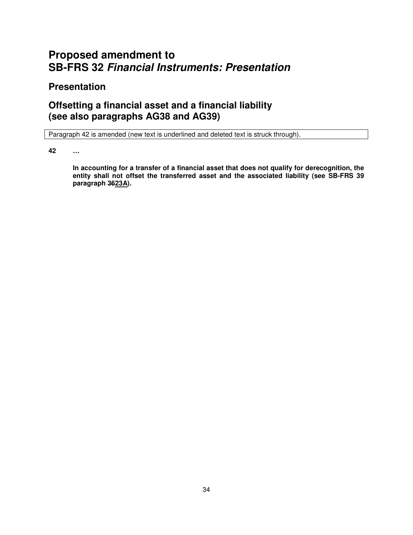## **Proposed amendment to SB-FRS 32 Financial Instruments: Presentation**

## **Presentation**

## **Offsetting a financial asset and a financial liability (see also paragraphs AG38 and AG39)**

Paragraph 42 is amended (new text is underlined and deleted text is struck through).

**42 …** 

**In accounting for a transfer of a financial asset that does not qualify for derecognition, the entity shall not offset the transferred asset and the associated liability (see SB-FRS 39 paragraph 3623A).**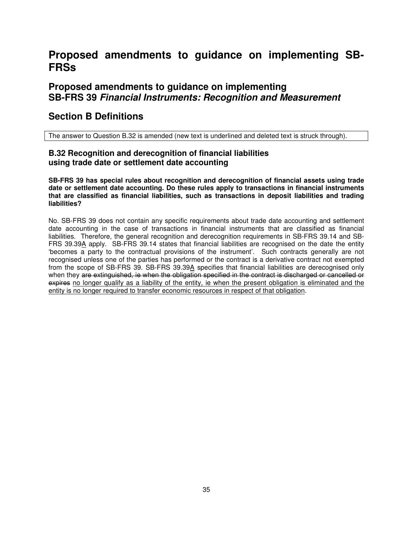## **Proposed amendments to guidance on implementing SB-FRSs**

### **Proposed amendments to guidance on implementing SB-FRS 39 Financial Instruments: Recognition and Measurement**

### **Section B Definitions**

The answer to Question B.32 is amended (new text is underlined and deleted text is struck through).

### **B.32 Recognition and derecognition of financial liabilities using trade date or settlement date accounting**

**SB-FRS 39 has special rules about recognition and derecognition of financial assets using trade date or settlement date accounting. Do these rules apply to transactions in financial instruments that are classified as financial liabilities, such as transactions in deposit liabilities and trading liabilities?** 

No. SB-FRS 39 does not contain any specific requirements about trade date accounting and settlement date accounting in the case of transactions in financial instruments that are classified as financial liabilities. Therefore, the general recognition and derecognition requirements in SB-FRS 39.14 and SB-FRS 39.39A apply. SB-FRS 39.14 states that financial liabilities are recognised on the date the entity 'becomes a party to the contractual provisions of the instrument'. Such contracts generally are not recognised unless one of the parties has performed or the contract is a derivative contract not exempted from the scope of SB-FRS 39. SB-FRS 39.39A specifies that financial liabilities are derecognised only when they are extinguished, ie when the obligation specified in the contract is discharged or cancelled or expires no longer qualify as a liability of the entity, ie when the present obligation is eliminated and the entity is no longer required to transfer economic resources in respect of that obligation.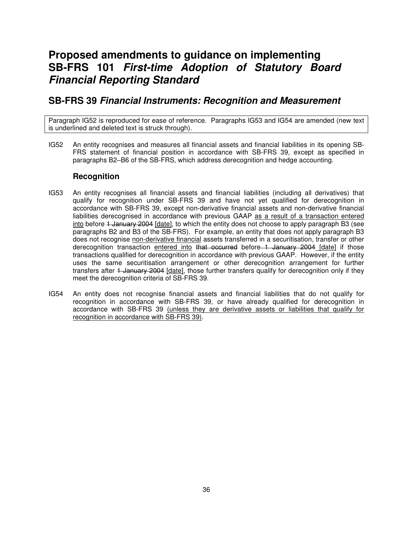## **Proposed amendments to guidance on implementing SB-FRS 101 First-time Adoption of Statutory Board Financial Reporting Standard**

### **SB-FRS 39 Financial Instruments: Recognition and Measurement**

Paragraph IG52 is reproduced for ease of reference. Paragraphs IG53 and IG54 are amended (new text is underlined and deleted text is struck through).

IG52 An entity recognises and measures all financial assets and financial liabilities in its opening SB-FRS statement of financial position in accordance with SB-FRS 39, except as specified in paragraphs B2–B6 of the SB-FRS, which address derecognition and hedge accounting.

### **Recognition**

- IG53 An entity recognises all financial assets and financial liabilities (including all derivatives) that qualify for recognition under SB-FRS 39 and have not yet qualified for derecognition in accordance with SB-FRS 39, except non-derivative financial assets and non-derivative financial liabilities derecognised in accordance with previous GAAP as a result of a transaction entered into before 1 January 2004 [date], to which the entity does not choose to apply paragraph B3 (see paragraphs B2 and B3 of the SB-FRS). For example, an entity that does not apply paragraph B3 does not recognise non-derivative financial assets transferred in a securitisation, transfer or other derecognition transaction entered into that occurred before 1 January 2004 [date] if those transactions qualified for derecognition in accordance with previous GAAP. However, if the entity uses the same securitisation arrangement or other derecognition arrangement for further transfers after 1 January 2004 [date], those further transfers qualify for derecognition only if they meet the derecognition criteria of SB-FRS 39.
- IG54 An entity does not recognise financial assets and financial liabilities that do not qualify for recognition in accordance with SB-FRS 39, or have already qualified for derecognition in accordance with SB-FRS 39 (unless they are derivative assets or liabilities that qualify for recognition in accordance with SB-FRS 39).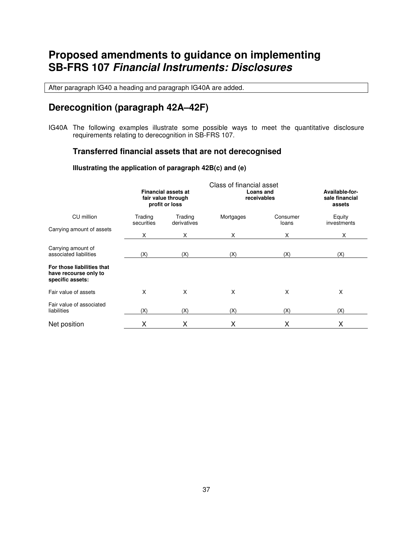## **Proposed amendments to guidance on implementing SB-FRS 107 Financial Instruments: Disclosures**

After paragraph IG40 a heading and paragraph IG40A are added.

## **Derecognition (paragraph 42A–42F)**

IG40A The following examples illustrate some possible ways to meet the quantitative disclosure requirements relating to derecognition in SB-FRS 107.

### **Transferred financial assets that are not derecognised**

#### **Illustrating the application of paragraph 42B(c) and (e)**

|                                                                         | Class of financial asset                                           |                        |                          |                                            |                       |  |  |
|-------------------------------------------------------------------------|--------------------------------------------------------------------|------------------------|--------------------------|--------------------------------------------|-----------------------|--|--|
| CU million                                                              | <b>Financial assets at</b><br>fair value through<br>profit or loss |                        | Loans and<br>receivables | Available-for-<br>sale financial<br>assets |                       |  |  |
|                                                                         | Trading<br>securities                                              | Trading<br>derivatives | Mortgages                | Consumer<br>loans                          | Equity<br>investments |  |  |
| Carrying amount of assets                                               | X                                                                  | X                      | X                        | X                                          | Χ                     |  |  |
| Carrying amount of<br>associated liabilities                            | (X)                                                                | (X)                    | (X)                      | (X)                                        | (X)                   |  |  |
| For those liabilities that<br>have recourse only to<br>specific assets: |                                                                    |                        |                          |                                            |                       |  |  |
| Fair value of assets                                                    | X                                                                  | X                      | X                        | X                                          | X                     |  |  |
| Fair value of associated<br>liabilities                                 | (X)                                                                | (X)                    | (X)                      | (X)                                        | (X)                   |  |  |
| Net position                                                            | Χ                                                                  | х                      | Χ                        | Χ                                          | Χ                     |  |  |